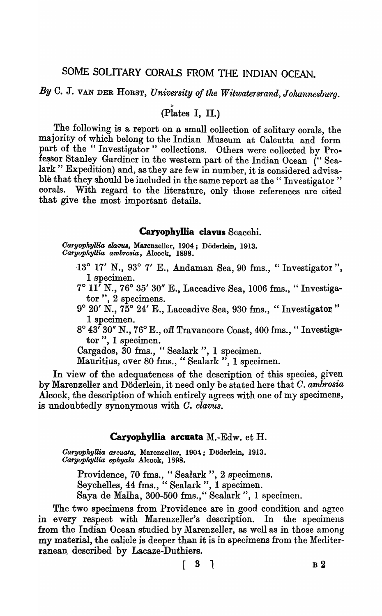# SOME SOLITARY CORALS FROM THE INDIAN OCEAN.

By C. J. VAN DER HORST, *University of the Witwatersrand, Johannesburg*.

 $(\overline{\text{Plates I, II.}})$ 

The following is a report on a small collection of solitary corals, the majority of which belong to the Indian Museum at Calcutta and form part of the "Investigator" collections. Others were collected by Professor Stanley Gardiner in the western part of the Indian Ocean ("Sealark" Expedition) and, as they are few in number, it is considered advisable that they should be included in the same report as the "Investigator" corals. With regard to the literature, only those references are cited that give the most important details.

### Caryophyllia clavus Scacchi.

Caryophyllia clasus, Marenzeller, 1904; Döderlein, 1913. *Oa'fyophyUia am,Moria,* Alcock, 1898.

- 13° 17' N., 93° 7' E., Andaman Sea,90 £ms., "Investigator ", 1 specimen.
- $7^\circ$  11<sup>'</sup> N.,  $76^\circ$  35' 30" E., Laccadive Sea, 1006 fms., "Investigator", 2 specimens.
- $9°20' N$ .,  $75°24' E$ ., Laccadive Sea, 930 fms., "Investigator" 1 specimen.
- $8^{\circ}$  43<sup> $\overline{7}$ </sup> 30" N., 76 $^{\circ}$  E., off Travancore Coast, 400 fms., "Investigator", 1 specimen.
- Cargados, 30 fms., "Sealark", 1 specimen.

Mauritius, over 80 fms., "Sealark ", 1 specimen.

In view of the adequateness of the description of this species, given by Marenzeller and Doderlein, it need only be stated here that O. *ambrosia*  Alcock, the description of which entirely agrees with one of my specimens, is undoubtedly synonymous with *o. clavus.* 

## Caryophyllia arcuata M.-Edw. et H.

*Oaryophyllia arcuata,* Marenzel1er, 1904:; Doderlein, 1913. *Oaryopkyllia ephyala* Aloook, 1898.

Providence, 70 fms., "Sealark", 2 specimens. Seychelles, 44 £ma., " Sealark ", 1 specimen. Saya de Malha, 300-500 fms.," Sealark ", 1 specimen.

The two specimens from Providence are in good condition and agree in every respect with Marenzeller's description. In the specimens from the Indian Ocean studied by Marenzeller, as well as in those among my material, the calicle is deeper than it is in specimens from the Mediterranean, described by Lacaze-Duthiers.

 $[ 3 ]$  B 2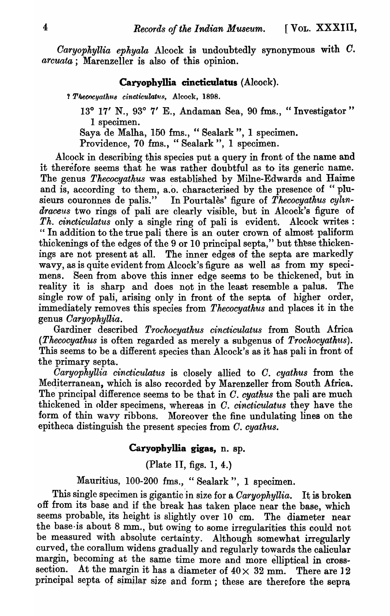*Caryophyllia ephyala* Alcock is undoubtedly synonymous with *C*. *arcuata*; Marenzeller is also of this opinion.

### Caryophyllia cincticulatus (Alcock).

? Thecocyathus cincticulatus, Alcock, 1898.

*13°* 17' N., 93° 7' E., Andaman Sea, 90 fms., "Investigator" 1 specimen.

Saya de Malha, 150 fms., "Sealark", 1 specimen.

Providence, 70 fms., "Sealark ", 1 specimen.

Alcock in describing this species put a query in front of the name and it therefore seems that he was rather doubtful as to its generic name. The genus *Thecocyathus* was established by Milne-Edwards and Haime and is, according to them, a.o. characterised by the presence of "plusieurs couronnes de palis." In Pourtales' figure of *Thecocyathus cylin*draceus two rings of pali are clearly visible, but in Alcock's figure of *Th. cincticulatus* only a single ring of pali is evident. Alcock writes : " In addition to the true pali there is an outer crown of almost paliform thickenings of the edges of the 9 or 10 principal septa," but these thickenings are not present at all. The inner edges of the septa are markedly wavy, as is quite evident from Alcock's figure as well as from my specimens. Seen from above this inner edge seems to be thickened, but in reality it is sharp and does not in the least resemble a palus. The single row of pali, arising only in front of the septa of higher order, immediately removes this species from *Thecocyathus* and places it in the genus *Oaryophyllia.* 

Gardiner described *Trochocyathus cincticulatus* from South Africa *(Thecocyathus* is often regarded as merely a subgenus of *Trochocyathtts).*  This seems to be a different species than Alcock's as it has pali in front of the primary septa.

*Caryophyllia cincticulatus* is closely allied to C. *cyathus* from the Mediterranean, which is also recorded by Marenzeller from South Africa. The principal difference seems to be that in O. *cyathus* the pali are much thickened in older specimens, whereas in *C. cincticulatus* they have the form of thin wavy ribbons. Moreover the fine undulating lines on the epitheca distinguish the present species from C. *cyathus*.

## Caryophyllia gigas, n. 8p.

(Plate II, figs. 1, 4.)

Mauritius, 100-200 fms., "Sealark", 1 specimen.

This single specimen is gigantic in size for a *Caryophyllia*. It is broken off from its base and if the break has taken place near the base, which seems probable, its height is slightly over 10 cm. The diameter near the base-is about 8 mm., but owing to some irregularities this could not be measured with absolute certainty. Although somewhat irregularly curved, the corallum widens gradually and regularly towards the calicular margin, becoming at the same time more and more elliptical in crosssection. At the margin it has a diameter of  $40 \times 32$  mm. There are 12 principal septa of similar size and form; these are therefore the sepra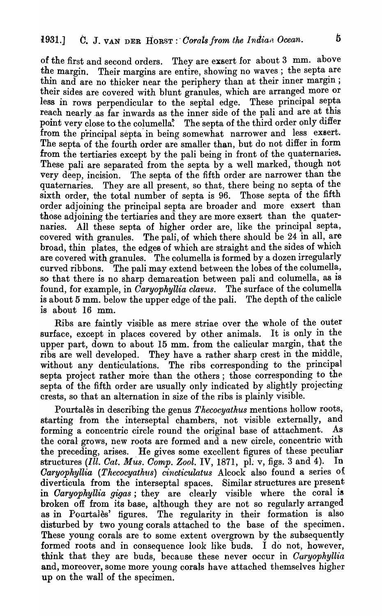of the first and second orders. They are exsert for about 3 mm. above the margin. Their margins are entire, showing no waves; the septa are thin and are no thicker near the periphery than at their inner margin; their sides are covered with blunt granules, which are arranged more or less in rows perpendicular to the septal edge. These principal septa reach nearly.as far inwards as the inner side of the pali and are at this point very close to the columella. The septa of the third order only differ from the principal septa in being somewhat narrower and less exsert. The septa of the fourth order are smaller than, but do not differ in form from the tertiaries except by the pali being in front of the quaternaries. These pali are separated from the septa by a well marked, though not very deep, incision. The septa of the fifth order are narrower than the quaternaries. They are all present, so that, there being no septa of the sixth order, the total number of septa is 96. Those septa of the fifth order adjoining the principal septa are broader and more exsert than those adjoining the tertiaries and they are more exsert than the quaternaries. All these septa of higher order are, like the principal septa, covered with granules. The pali, of which there should be 24 in all, are broad., thin plates, the edges of which are straight and the sides of which are covered with granules. The columella is formed by a dozen irregularly curved ribbons. The pali may extend between the lobes of the columella, so that there is no sharp demarcation between pali and columella, as is found, for example, in *Caryophyllia clavus*. The surface of the columella is about 5 mm, below the upper edge of the pali. The depth of the calicle is about  $5 \text{ mm}$ . below the upper edge of the pali. is about 16 mm.

Ribs are faintly visible as mere striae over the whole of the outer surface, except in places covered by other animals. It is only in the upper part, down to about 15 mm. from the calicular margin, that the ribs are well developed. They have a rather sharp crest in the middle, without any denticulations. The ribs corresponding to the principal septa project rather more than the others; those corresponding to the septa of the fifth order are usually only indicated by slightly projecting crests, so that an alternation in size of the ribs is plainly visible.

Pourtales in describing the genus *Thecocyathus* mentions hollow roots, starting from the interseptal chambers, not visible externally, and forming a concentric circle round the original base of attachment. As the coral grows, new roots are formed and a new circle, concentric with the preceding, arises. He gives some excellent figures of these peculiar structures *(Ill. Oat. Mus. Oomp. Zool.* IV, 1871, pL v, figs. 3 and 4). In *Caryophyllia (Thecocyathus) cincticulatus* Alcock also found a series of diverticula from the interseptal spaces. Similar structures are present in *Caryophyllia gigas*; they are clearly visible where the coral is broken off from its base, although they are not so regularly arranged as in Pourtales' figures. The regularity in their formation is also disturbed by two young corals attached to the base of the specimen. These young corals are to some extent overgrown by the subsequently formed roots and in consequence look like buds. I do not, however, think that they are buds, because these never occur in *Oaryophyllia*  and, moreover, some more young corals have attached themselves higher up on the wall of the specimen.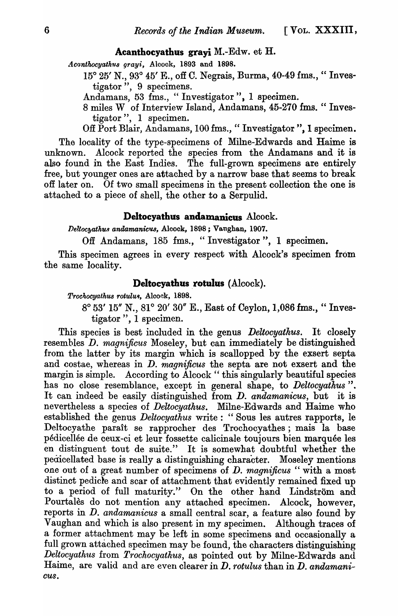#### **Acanthocyathus grayi M.-Edw. et H.**

Acanthocyathus grayi, Alcook, 1893 and 1898.

15° 25' N., 93° 45' E., off C. Negrais, Burma, 40-49 fms., " Investigator", 9 specimens.

Andamans, 53 fms., "Investigator", 1 specimen.

8 miles W of Interview Island, Andamans, 45-270 fms. " Investigator", 1 specimen.

Off Port Blair, Andamans, 100 fms., "Investigator", I specimen.

The locality of the type-specimens of Milne-Edwards and Haime is unknown. Alcock reported the species from the Andamans and it is also found in the East Indies. The full-grown specimens are entirely free, but younger ones are attached by a narrow base that seems to break off later on. Of two small specimens in the present collection the one is attached to a piece of shell, the other to a Serpulid.

#### **Deltocyathus andamanicus** Alcock.

Deltocyathus andamanicus, Alcock, 1898; Vaughan, 1907.

Off Andamans, 185 fms., "Investigator", 1 specimen.

This specimen agrees in every respect with Alcock's specimen from the same locality.

## Deltocyathus rotulus (Alcock).

*Trochocyathus rotulus, Alcock, 1898.* 

8° 53' 15" N., 81° 20' 30" E., East of Ceylon, 1,086 £ms., " Investigator", 1 specimen.

This species is best included in the genus *Deltocyathus.* It closely resembles *D. magnificus* Moseley, but can immediately be distinguished from the latter by ita margin which is scallopped by the exsert septa and costae, whereas in D. *magnificus* the septa are not exsert and the margin is simple. According to Alcock "this singularly beautiful species has no close resemblance, except in general shape, to *Deltocyathus* ". It can indeed be easily distinguished from D. *andamanicus,* but it is nevertheless a species of *Deltocyathus.* Milne-Edwards and Haime who established the genus *Deltocyathus* write: "Sous les autres rapports, le Deltocyathe paraît se rapprocher des Trochocyathes; mais la base pedicellee de ceux-ci et leur fossette calicinale toujours bien marquee les en distinguent tout de suite." It is somewhat doubtful whether the pedicellated base is really a distinguishing character. Moseley mentions one out of a great number of specimens of D. *magnificus* " with a most distinct pedicle and scar of attachment that evidently remained fixed up to a period of full maturity." On the other hand Lindström and Pourtales do not mention any attached specimen. Alcock, however, reports in *D. andamanicus* a small central scar, a feature also found by Vaughan and which is also present in my specimen. Although traces of a former attachment may be left in some specimens and occasionally a full grown attached specimen may be found, the characters distinguishing *Deltocyathus* from *Trochocyathus,* as pointed out by Milne-Edwards and Haime, are valid and are even clearer in *D. rotulus* than in *D. andamani-CUS.*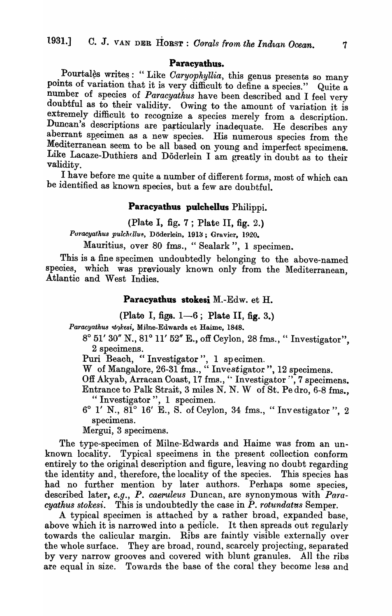#### Paracyathus.

Pourtalès writes: "Like *Caryophyllia*, this genus presents so many points of variation that it is very difficult to define a species." Quite a number of species of *Paracyathus* have been described and I feel very doubtful as to their validity. Owing to the amount of variation it is extremely difficult to recognize a species merely from a description. Duncan's descriptions are particularly inadequate. He describes any aberrant specimen as a new species. His numerous species from the Mediterranean seem to be all based on young and imperfect specimens. Like Lacaze-Duthiers and Doderlein I am greatly in doubt as to their validity.

I have before me quite a number of different forms, most of which can be identified as known species, but a few are doubtful.

#### Paracyathus pulchellus Philippi.

(Plate I, fig.  $7$ ; Plate II, fig.  $2$ .)

Puracyathus pulchellus, Döderlein, 1913; Gravier, 1920.

Mauritius, over 80 fms., "Sealark", 1 specimen.

This is a fine specimen undoubtedly belonging to the above-named species, which was previously known only from the Mediterranean, Atlantic and West Indies.

## Paracyathus stokesi M.-Edw. et H.

(Plate I, figs.  $1-6$ ; Plate II, fig. 3.)

Paracyathus stokesi, Milne-Edwards et Haime, 1848.

8° 51' 30" N., 81° 11' 52" E., off Ceylon, 28 fms., " Investigator", 2 specimens.

Puri Beach, "Investigator", 1 specimen.

W of Mangalore, 26-31 fms., "Investigator", 12 specimens.

Off Akyab, Arracan Coast, 17 fms., "Investigator", 7 specimens.

Entrance to Palk Strait, 3 miles N. N. W of St. Pe dro, 6-8 fms., " Investigator", 1 specimen.

6° l' N., 81° 16' E., S. of Ceylon, 34 fms., "Investigator ", 2 specimens.

Mergui, 3 specimens.

The type-specimen of Milne-Edwards and Haime was from an unknown locality. Typical specimens in the present collection conform entirely to the original description and figure, leaving no doubt regarding the identity and, therefore, the locality of the species. This species has had no further mention by later authors. Perhaps some species, described later, *e.g., P. caeruleus* Duncan, are synonymous with *Para-* $\it{cyathus \; stokesi.}$  This is undoubtedly the case in  $\it{P. \; rotundatas}$  Semper.

A typical specimen is attached by a rather broad, expanded base, above which it is narrowed into a pedicle. It then spreads out regularly towards the calicular margin. Ribs are faintly visible externally over the whole surface. They are broad, round, scarcely projecting, separated by very narrow grooves and covered with blunt granules. All the ribs are equal in size. Towards the base of the coral they become less and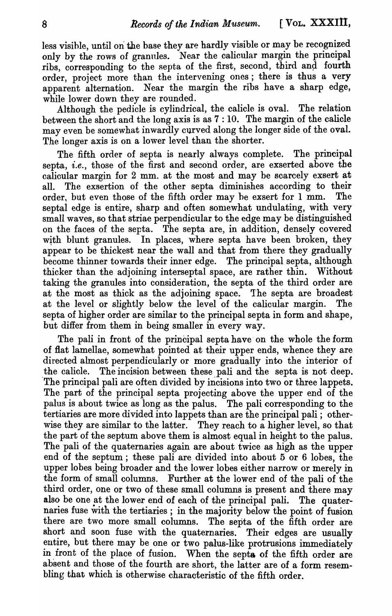less visible, until on the base they are hardly visible or may be recognized only by the rows of granules. Near the calicular margin the principal ribs, corresponding to the septa of the first, second, third and fourth order, project more than the intervening ones; there is thus a very apparent alternation. Near the margin the ribs have a sharp edge, while lower down they are rounded.

Although the pedicle is cylindrical, the calicle is oval. The relation between the short and the long axis is as 7 : 10. The margin of the calicle may even be somewhat inwardly curved along the longer side of the oval. The longer axis is on a lower level than the shorter.

The fifth order of septa is nearly always complete. The principal septa, *i.e.,* those of the first and second order, are exserted above the calicular margin for 2 mm. at the most and may be scarcely exsert at all. The exsertion of the other septa diminishes according to their order, but even those of the fifth order may be exsert for 1 mm. The septal edge is entire, sharp and often somewhat undulating, with very small waves, so that striae perpendicular to the edge may be distinguished on the faces of the septa. The septa are, in addition, densely covered with blunt granules. In places, where septa have been broken, they appear to be thickest near the wall and that from there they gradually become thinner towards their inner edge. The principal septa, although thicker than the adjoining interseptal space, are rather thin. Without taking the granules into consideration, the septa of the third order are at the most as thick as the adjoining space. 'Ihe septa are broadest at the level or slightly below the level of the calicular margin. The septa of higher order are similar to the principal septa in form and shape, but differ from them in being smaller in every way.

The pali in front of the principal septa have' on the whole the form of flat lamellae, somewhat pointed at their upper ends, whence they are directed almost perpendicularly or more gradually into the interior of the calicle. The incision between these pali and the septa is not deep. 'The principal pali are often divided by incisions into two or three lappets. The part of the principal septa projecting above the upper end of the palus is about twice as long as the palus. The pali corresponding to the tertiaries are more divided into lappets than are the principal pali; otherwise they are similar to the latter. They reach to a higher level, so that the part of the septum above them is almost equal in height to the palus. The pali of the quaternaries again are about twice as high as the upper end of the septum; these pali are, divided into about 5 or 6 lobes, the upper lobes being broader and the lower lobes either narrow or merely in the form of small columns. Further at the lower end of the pali of the third order, one or two of these small columns is present and there may also be one at the lower end of each of the principal pali. The quaternaries fuse with the tertiaries; in the majority below the point of fusion there are two more small columns. The septa of the fifth order are short and soon fuse with the quaternaries. Their edges are usually entire, but there may be one or two palus-like protrusions immediately in iront of the place of fusion. When the septa of the fifth order are absent and those of the fourth are short, the latter are of a form resembling that which is otherwise characteristic of the fifth order.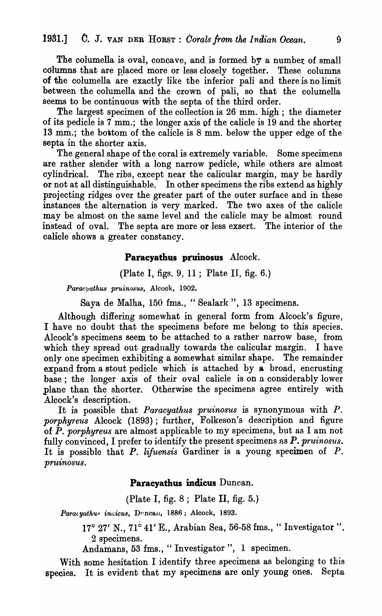The columella is oval, concave, and is formed  $b\bar{v}$  a number of small columns that are placed more or less closely together. These columns of the columella are exactly like the inferior pali and there is no limit between the columella and the crown of pali, so that the columella seems to be continuous with the septa of the third order.

The largest specimen of the collection is 26 mm. high; the diameter of its pedicle is  $7 \text{ mm}$ ; the longer axis of the calicle is  $19$  and the shorter 13 mm.; the bottom of the calicle is 8 mm. below the upper edge of the septa in the shorter axis.

The general shape of the coral is extremely variable. Some specimens are rather slender with a long narrow pedicle, while others are almost cylindrical. The ribs, except near the calicular margin, may be hardly or not at all distinguishable. In other specimens the ribs extend as highly projecting ridges over the greater part of the outer surface and in these instances the alternation is very marked. The two axes of the calicle may be almost on the same level and the calicle may be almost round instead of oval. The septa are more or less exsert. The interior of the calicle shows a greater constancy.

### **Paracyatbus pruinosus** Alcock.

(Plate I, figs. 9, 11; Plate II, fig. 6.)

Paracyathus pruinosus, Alcock, 1902.

Saya de Malha, 150 fms., " Sealark", 13 specimens.

Although differing somewhat in general form from Alcock's figure, I have no doubt that the specimens before me belong to this species. Alcock's specimens seem to be attached to a rather narrow base, from which they spread out gradually towards the calicular margin. I have only one specimen exhibiting a somewhat similar shape. The remainder expand from a stout pedicle which is attached by a broad, encrusting base; the longer axis of their oval calicle is on a considerably lower plane than the shorter. Otherwise the specimens agree entirely with Alcock's description.

It is possible that *Paracyathus pruinosus* is synonymous with P. *porphyreus* Alcock (1893); further, Folkeson's description and figure of *P. porphyreus* are almost applicable to my specimens, but as I am not fully convinced, I prefer to identify the present specimens as *P. pruinosus.*  It is possible that *P. liJuensis* Gardiner is a young specimen of *P.*  pruinosus.

### Paracyathus indicus Duncan.

## (Plate I, fig.  $8$ ; Plate II, fig. 5.)

Paracyathus incicus, Duncan, 1886; Alcock, 1893.

17° 27' N., 71° 41' E., Arabian Sea, 56-58 fms., "Investigator", 2 specimens.

Andamans, 53 fms., " Investigator", 1 specimen.

With some hesitation I identify three specimens as belonging to this species. It is evident that my specimens are only young ones. Septa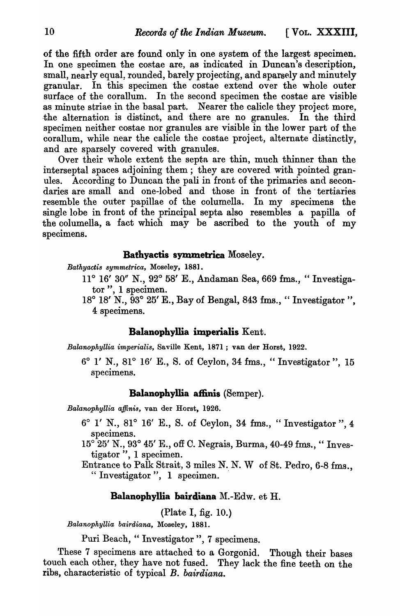of the fifth order are found only in one system of the largest specimen. In one specimen the costae are, as indicated in Duncan's description, small, nearly equal, rounded, barely projecting, and sparsely and minutely granular. In this specimen the costae extend over the whole outer surface of the corallum. In the second specimen the costae are visible as minute striae in the basal part. Nearer the calicle they project more, .the alternation is distinct, and there are no granules. In the third specimen neither costae nor granules are visible in the lower part of the corallum, while near the calicle the costae project, alternate distinctly, and are sparsely covered with granules.

Over their whole extent the septa are thin, much thinner than the interseptal spaces adjoining them; they are covered with pointed granules. According to Duncan the pali in front of the primaries and secondaries are small and one-lobed and those in front of the' tertiaries resemble the outer papillae of the columella. In my specimens the single lobe in front of the principal septa also resembles a papilla of the columella, a fact which may be ascribed to the youth of  $my$ specimens.

## Bathyactis symmetrica Moseley.

*Bathyactis symmetrica,* Moseley, 188].

- 11° 16' 30" N., 92° 58' E., Andaman Sea, 669 fms., " Investigator", 1 specimen.
- 18° 18' N., 93° 25' E., Bay of Bengal, 843 fms., " Investigator", 4 specimens.

# Balanophyllia imperialis Kent.

*Balanophyllia imperialis,* Saville Kent, 1871 ; van der Horst, 1922.

6° l' N., 81° 16' E., S. of Ceylon, 34 fms., "Investigator", 15 specimens.

## Balanophyllia affinis (Semper).

*Balanophyllia affinis,* van der Horst, 1926.

- $6°$  1' N.,  $81°$  16' E., S. of Ceylon, 34 fms., "Investigator", 4 specimens.
- $15^{\circ}$  25' N., 93° 45' E., off C. Negrais, Burma, 40-49 fms., "Investigator", 1 specimen.
- Entrance to Palk Strait, 3 miles N. N. W of St. Pedro, 6-8 fms., " Investigator", 1 specimen.

## Balanophyllia bairdiana  $M.-Edw.$  et  $H.$

(Plate I, fig. 10.)

*Balanophyllia bairdiana,* l\Ioseley, 1881.

Puri Beach, "Investigator", 7 specimens.

These 7 specimens are attached to a Gorgonid. Though their bases touch each other, they have not fused. They lack the fine teeth on the ribs, characteristic of typical *B. bairdiana.*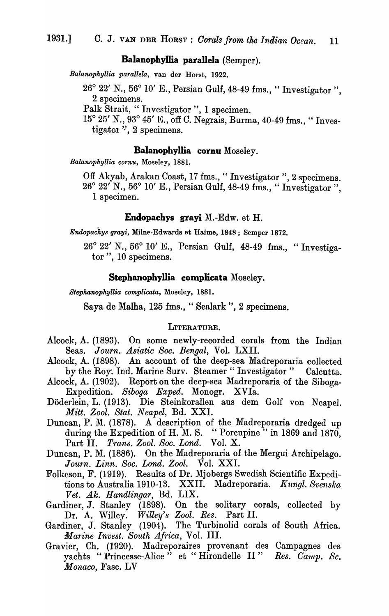# Balanophyllia parallela (Semper).

*Balanophyllia parallela,* van der Horst, 1922.

26° 22' N., 56° 10' E., Persian Gulf, 48-49 fms., " Investigator ", 2 specimens.

Palk Strait, " Investigator", 1 specimen.

15° 25' N., 93° 45' E., off C. Negrais, Burma, 40-49 fms., "Investigator  $\cdot$ , 2 specimens.

### Balanophyllia cornu Moseley.

*Balanophyllia cornu,* Moseley, 1881.

Off Akyab, Arakan Coast, 17 fms., " Investigator ", 2 specimens. 26° 22' N., 56° 10' E., Persian Gulf, 48-49 fms., " Investigator ", 1 specimen.

#### Endopachys grayi M.-Edw. et H.

*Endopachys grayi*, Milne-Edwards et Haime, 1848; Semper 1872.

26° 22' N., 56° 10' E., Persian Gulf, 48-49 fma., "Investigator", 10 specimens.

#### StephanophyIlia complicata Moseley.

*Stephanophyllia complicata, Moseley, 1881.* 

Saya de Malha, 125 fms., "Sealark", 2 specimens.

#### LITERATURE.

- Alcock, A. (1893). On some newly-recorded corals from the Indian Seas. Journ. Asiatic Soc. Bengal, Vol. LXII.
- Alcock, A. (1898). An account of the deep-sea Madreporaria collected by the Roy: Ind. Marine Surv. Steamer "Investigator" Calcutta.
- Alcock, A. (1902). Report on the deep-sea Madreporaria of the Siboga-Expedition. *Siboga Exped.* Monogr. XVIa.
- Doderlein; L. (1913). Die Steinkorallen aus dem Golf von Neapel. *Mitt. Zool. Stat. N eapel,* Bd. XXI.
- Duncan, P. M. (1878). A description of the Madreporaria dredged up during the Expedition of H. M. S. "Porcupine" in 1869 and 1870, Part II. *Trans. Zool. Soc. Lond.* Vol. X.
- Duncan, P. M. (1886). On the Madreporaria of the Mergui Archipelago. *J ourn. Linn. Soc. Lond. Zool.* Vol. XXI.
- Folkeson, F. (1919). Results of Dr. Mjobergs Swedish Scientific Expeditions to Australia 1910-13. XXII. Madreporaria. *Kungl. Svenska Vet. Ak. Handlingar,* Bd. LIX.
- Gardiner, J. Stanley (1898). On the solitary corals, collected by Dr. A. Willey. *Willey's Zool. Res.* Part II.
- Gardiner, J. Stanley (1904). The Turbinolid corals of South Africa. *Marine Invest. South Africa,* Vol. III.
- Gravier, Ch. (1920). Madreporaires provenant des Campagnes des yachts "Princesse-Alice" et "Hirondelle II" *Res. Camp. Sc. Monaco*, Fasc. LV